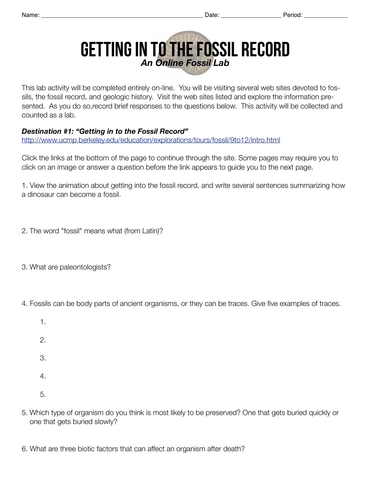## Getting in to the Fossil Record *An Online Fossil Lab*

This lab activity will be completed entirely on-line. You will be visiting several web sites devoted to fossils, the fossil record, and geologic history. Visit the web sites listed and explore the information presented. As you do so,record brief responses to the questions below. This activity will be collected and counted as a lab.

## *Destination #1: "Getting in to the Fossil Record"*

<http://www.ucmp.berkeley.edu/education/explorations/tours/fossil/9to12/intro.html>

Click the links at the bottom of the page to continue through the site. Some pages may require you to click on an image or answer a question before the link appears to guide you to the next page.

1. View the animation about getting into the fossil record, and write several sentences summarizing how a dinosaur can become a fossil.

2. The word "fossil" means what (from Latin)?

3. What are paleontologists?

4. Fossils can be body parts of ancient organisms, or they can be traces. Give five examples of traces.

- 1.
- 2.
- 3.
- 4.
- 5.
- 5. Which type of organism do you think is most likely to be preserved? One that gets buried quickly or one that gets buried slowly?
- 6. What are three biotic factors that can affect an organism after death?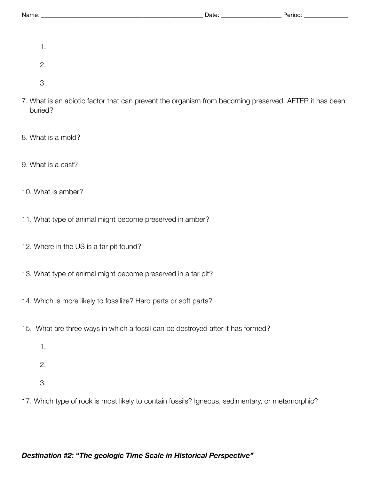- 1.
- 2.
- 
- 3.
- 7. What is an abiotic factor that can prevent the organism from becoming preserved, AFTER it has been buried?
- 8. What is a mold?
- 9. What is a cast?
- 10. What is amber?
- 11. What type of animal might become preserved in amber?
- 12. Where in the US is a tar pit found?
- 13. What type of animal might become preserved in a tar pit?
- 14. Which is more likely to fossilize? Hard parts or soft parts?
- 15. What are three ways in which a fossil can be destroyed after it has formed?
	- 1.
	- 2.
	- 3.
- 17. Which type of rock is most likely to contain fossils? Igneous, sedimentary, or metamorphic?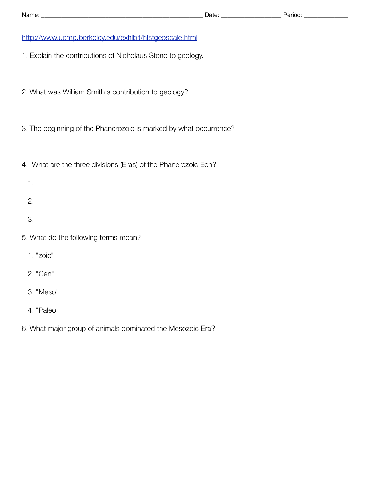## <http://www.ucmp.berkeley.edu/exhibit/histgeoscale.html>

- 1. Explain the contributions of Nicholaus Steno to geology.
- 2. What was William Smith's contribution to geology?
- 3. The beginning of the Phanerozoic is marked by what occurrence?
- 4. What are the three divisions (Eras) of the Phanerozoic Eon?
	- 1.
	- 2.
	- 3.
- 5. What do the following terms mean?
	- 1. "zoic"
	- 2. "Cen"
	- 3. "Meso"
	- 4. "Paleo"
- 6. What major group of animals dominated the Mesozoic Era?